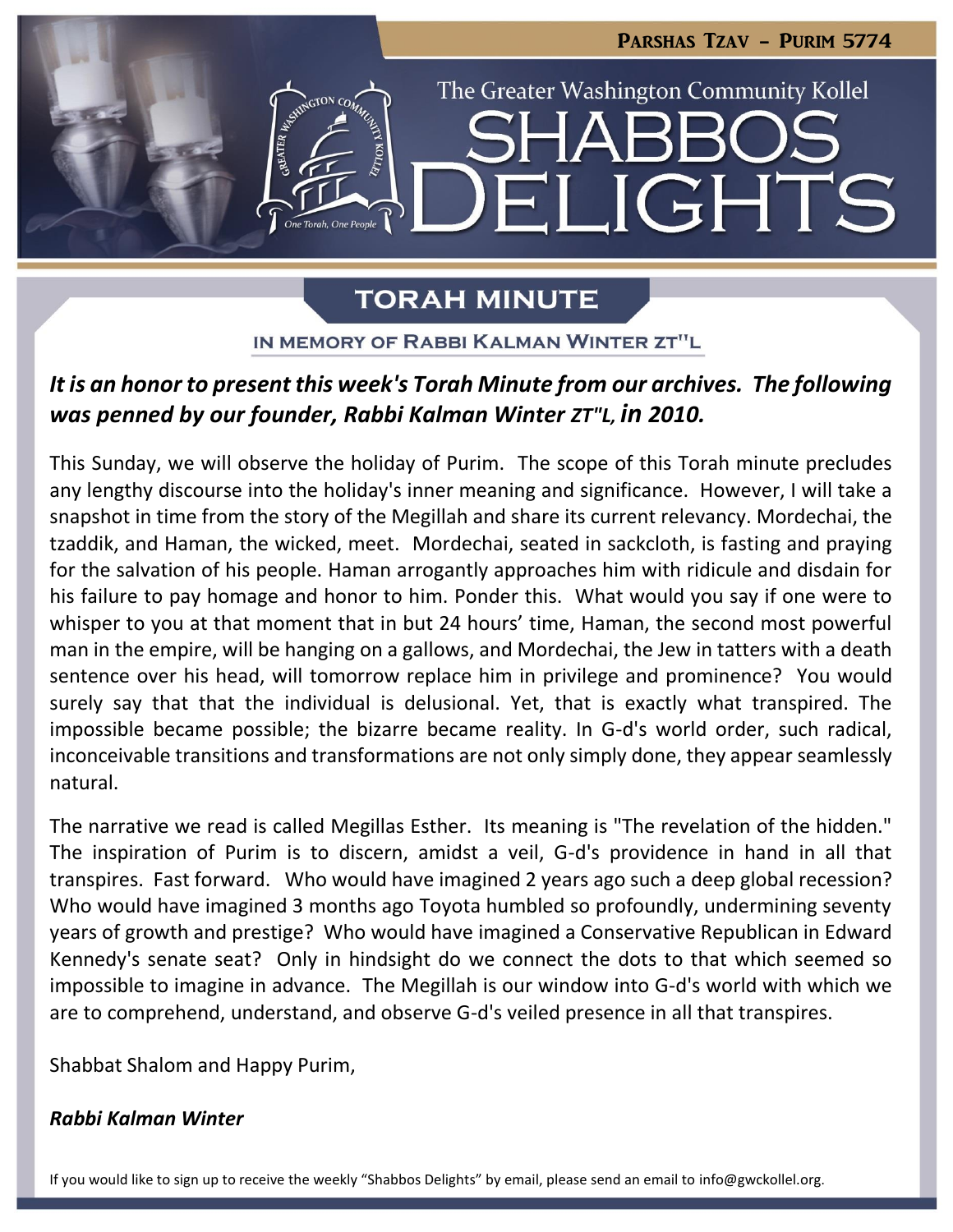

**TORAH MINUTE** 

IN MEMORY OF RABBI KALMAN WINTER ZT"L

# *It is an honor to present this week's Torah Minute from our archives. The following was penned by our founder, Rabbi Kalman Winter ZT"L, in 2010.*

This Sunday, we will observe the holiday of Purim. The scope of this Torah minute precludes any lengthy discourse into the holiday's inner meaning and significance. However, I will take a snapshot in time from the story of the Megillah and share its current relevancy. Mordechai, the tzaddik, and Haman, the wicked, meet. Mordechai, seated in sackcloth, is fasting and praying for the salvation of his people. Haman arrogantly approaches him with ridicule and disdain for his failure to pay homage and honor to him. Ponder this. What would you say if one were to whisper to you at that moment that in but 24 hours' time, Haman, the second most powerful man in the empire, will be hanging on a gallows, and Mordechai, the Jew in tatters with a death sentence over his head, will tomorrow replace him in privilege and prominence? You would surely say that that the individual is delusional. Yet, that is exactly what transpired. The impossible became possible; the bizarre became reality. In G-d's world order, such radical, inconceivable transitions and transformations are not only simply done, they appear seamlessly natural.

The narrative we read is called Megillas Esther. Its meaning is "The revelation of the hidden." The inspiration of Purim is to discern, amidst a veil, G-d's providence in hand in all that transpires. Fast forward. Who would have imagined 2 years ago such a deep global recession? Who would have imagined 3 months ago Toyota humbled so profoundly, undermining seventy years of growth and prestige? Who would have imagined a Conservative Republican in Edward Kennedy's senate seat? Only in hindsight do we connect the dots to that which seemed so impossible to imagine in advance. The Megillah is our window into G-d's world with which we are to comprehend, understand, and observe G-d's veiled presence in all that transpires.

Shabbat Shalom and Happy Purim,

### *Rabbi Kalman Winter*

If you would like to sign up to receive the weekly "Shabbos Delights" by email, please send an email to [info@gwckollel.org](mailto:info@gwckollel.org).